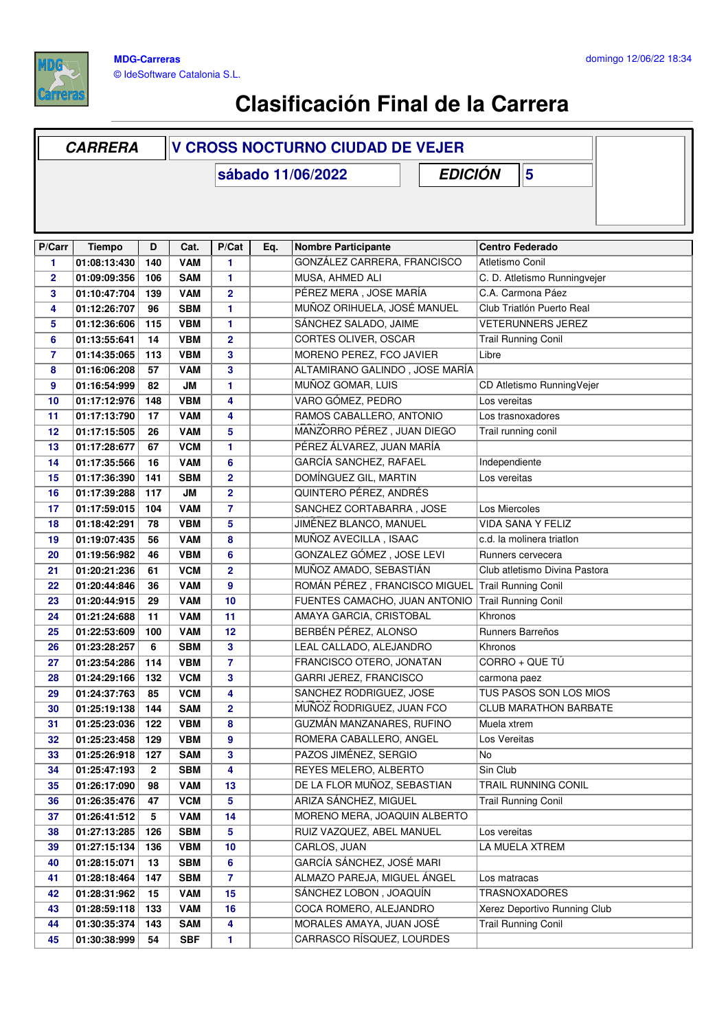

## **Clasificación Final de la Carrera**

|                | <b>CARRERA</b> |              | <b>V CROSS NOCTURNO CIUDAD DE VEJER</b> |                         |     |                                     |                               |  |
|----------------|----------------|--------------|-----------------------------------------|-------------------------|-----|-------------------------------------|-------------------------------|--|
|                |                |              |                                         |                         |     | <b>EDICIÓN</b><br>sábado 11/06/2022 | $5\phantom{1}$                |  |
|                |                |              |                                         |                         |     |                                     |                               |  |
|                |                |              |                                         |                         |     |                                     |                               |  |
| P/Carr         | <b>Tiempo</b>  | D            | Cat.                                    | P/Cat                   | Eq. | <b>Nombre Participante</b>          | <b>Centro Federado</b>        |  |
| 1              | 01:08:13:430   | 140          | <b>VAM</b>                              | 1                       |     | GONZÁLEZ CARRERA, FRANCISCO         | Atletismo Conil               |  |
| $\overline{2}$ | 01:09:09:356   | 106          | <b>SAM</b>                              | 1                       |     | MUSA, AHMED ALI                     | C. D. Atletismo Runningvejer  |  |
| 3              | 01:10:47:704   | 139          | <b>VAM</b>                              | $\overline{2}$          |     | PÉREZ MERA, JOSE MARÍA              | C.A. Carmona Páez             |  |
| 4              | 01:12:26:707   | 96           | <b>SBM</b>                              | 1                       |     | MUÑOZ ORIHUELA, JOSÉ MANUEL         | Club Triatlón Puerto Real     |  |
| 5              | 01:12:36:606   | 115          | <b>VBM</b>                              | 1                       |     | SÁNCHEZ SALADO, JAIME               | <b>VETERUNNERS JEREZ</b>      |  |
| 6              | 01:13:55:641   | 14           | <b>VBM</b>                              | $\overline{2}$          |     | CORTES OLIVER, OSCAR                | <b>Trail Running Conil</b>    |  |
| 7              | 01:14:35:065   | 113          | <b>VBM</b>                              | 3                       |     | MORENO PEREZ, FCO JAVIER            | Libre                         |  |
| 8              | 01:16:06:208   | 57           | <b>VAM</b>                              | 3                       |     | ALTAMIRANO GALINDO, JOSE MARÍA      |                               |  |
| 9              | 01:16:54:999   | 82           | <b>JM</b>                               | 1                       |     | MUÑOZ GOMAR, LUIS                   | CD Atletismo RunningVejer     |  |
| 10             | 01:17:12:976   | 148          | <b>VBM</b>                              | 4                       |     | VARO GÓMEZ, PEDRO                   | Los vereitas                  |  |
| 11             | 01:17:13:790   | 17           | <b>VAM</b>                              | 4                       |     | RAMOS CABALLERO, ANTONIO            | Los trasnoxadores             |  |
| 12             | 01:17:15:505   | 26           | <b>VAM</b>                              | 5                       |     | MANZORRO PÉREZ, JUAN DIEGO          | Trail running conil           |  |
| 13             | 01:17:28:677   | 67           | <b>VCM</b>                              | $\mathbf{1}$            |     | PÉREZ ÁLVAREZ, JUAN MARÍA           |                               |  |
| 14             | 01:17:35:566   | 16           | <b>VAM</b>                              | 6                       |     | GARCÍA SANCHEZ, RAFAEL              | Independiente                 |  |
| 15             | 01:17:36:390   | 141          | <b>SBM</b>                              | $\overline{2}$          |     | DOMÍNGUEZ GIL, MARTIN               | Los vereitas                  |  |
| 16             | 01:17:39:288   | 117          | JM                                      | $\overline{\mathbf{2}}$ |     | QUINTERO PÉREZ, ANDRÉS              |                               |  |
| 17             | 01:17:59:015   | 104          | <b>VAM</b>                              | $\overline{7}$          |     | SANCHEZ CORTABARRA, JOSE            | Los Miercoles                 |  |
| 18             | 01:18:42:291   | 78           | <b>VBM</b>                              | 5                       |     | JIMÉNEZ BLANCO, MANUEL              | <b>VIDA SANA Y FELIZ</b>      |  |
| 19             | 01:19:07:435   | 56           | <b>VAM</b>                              | 8                       |     | MUÑOZ AVECILLA, ISAAC               | c.d. la molinera triatlon     |  |
| 20             | 01:19:56:982   | 46           | <b>VBM</b>                              | $6\phantom{1}6$         |     | GONZALEZ GÓMEZ, JOSE LEVI           | Runners cervecera             |  |
| 21             | 01:20:21:236   | 61           | <b>VCM</b>                              | $\overline{2}$          |     | MUÑOZ AMADO, SEBASTIÁN              | Club atletismo Divina Pastora |  |
| 22             | 01:20:44:846   | 36           | <b>VAM</b>                              | $\boldsymbol{9}$        |     | ROMÁN PÉREZ, FRANCISCO MIGUEL       | <b>Trail Running Conil</b>    |  |
| 23             | 01:20:44:915   | 29           | <b>VAM</b>                              | 10                      |     | FUENTES CAMACHO, JUAN ANTONIO       | <b>Trail Running Conil</b>    |  |
| 24             | 01:21:24:688   | 11           | <b>VAM</b>                              | 11                      |     | AMAYA GARCIA, CRISTOBAL             | Khronos                       |  |
| 25             | 01:22:53:609   | 100          | <b>VAM</b>                              | 12                      |     | BERBÉN PÉREZ, ALONSO                | Runners Barreños              |  |
| 26             | 01:23:28:257   | 6            | <b>SBM</b>                              | 3                       |     | LEAL CALLADO, ALEJANDRO             | Khronos                       |  |
| 27             | 01:23:54:286   | 114          | <b>VBM</b>                              | $\overline{7}$          |     | FRANCISCO OTERO, JONATAN            | CORRO + QUE TÚ                |  |
| 28             | 01:24:29:166   | 132          | <b>VCM</b>                              | 3                       |     | <b>GARRI JEREZ, FRANCISCO</b>       | carmona paez                  |  |
| 29             | 01:24:37:763   | 85           | <b>VCM</b>                              | 4                       |     | SANCHEZ RODRIGUEZ, JOSE             | TUS PASOS SON LOS MIOS        |  |
| 30             | 01:25:19:138   | 144          | <b>SAM</b>                              | $\mathbf{2}$            |     | MUÑOZ RODRIGUEZ, JUAN FCO           | <b>CLUB MARATHON BARBATE</b>  |  |
| 31             | 01:25:23:036   | 122          | <b>VBM</b>                              | 8                       |     | GUZMÁN MANZANARES, RUFINO           | Muela xtrem                   |  |
| 32             | 01:25:23:458   | 129          | <b>VBM</b>                              | 9                       |     | ROMERA CABALLERO, ANGEL             | Los Vereitas                  |  |
| 33             | 01:25:26:918   | 127          | <b>SAM</b>                              | 3                       |     | PAZOS JIMÉNEZ, SERGIO               | No                            |  |
| 34             | 01:25:47:193   | $\mathbf{2}$ | <b>SBM</b>                              | 4                       |     | REYES MELERO, ALBERTO               | Sin Club                      |  |
| 35             | 01:26:17:090   | 98           | <b>VAM</b>                              | 13                      |     | DE LA FLOR MUÑOZ, SEBASTIAN         | TRAIL RUNNING CONIL           |  |
| 36             | 01:26:35:476   | 47           | <b>VCM</b>                              | 5                       |     | ARIZA SÁNCHEZ, MIGUEL               | <b>Trail Running Conil</b>    |  |
| 37             | 01:26:41:512   | 5            | <b>VAM</b>                              | 14                      |     | MORENO MERA, JOAQUIN ALBERTO        |                               |  |
| 38             | 01:27:13:285   | 126          | <b>SBM</b>                              | 5                       |     | RUIZ VAZQUEZ, ABEL MANUEL           | Los vereitas                  |  |
| 39             | 01:27:15:134   | 136          | <b>VBM</b>                              | 10                      |     | CARLOS, JUAN                        | LA MUELA XTREM                |  |
| 40             | 01:28:15:071   | 13           | <b>SBM</b>                              | 6                       |     | GARCÍA SÁNCHEZ, JOSÉ MARI           |                               |  |
| 41             | 01:28:18:464   | 147          | <b>SBM</b>                              | $\overline{7}$          |     | ALMAZO PAREJA, MIGUEL ÁNGEL         | Los matracas                  |  |
| 42             | 01:28:31:962   | 15           | <b>VAM</b>                              | 15                      |     | SÁNCHEZ LOBON, JOAQUÍN              | <b>TRASNOXADORES</b>          |  |
| 43             | 01:28:59:118   | 133          | <b>VAM</b>                              | 16                      |     | COCA ROMERO, ALEJANDRO              | Xerez Deportivo Running Club  |  |
| 44             | 01:30:35:374   | 143          | <b>SAM</b>                              | 4                       |     | MORALES AMAYA, JUAN JOSÉ            | <b>Trail Running Conil</b>    |  |
| 45             | 01:30:38:999   | 54           | <b>SBF</b>                              | 1                       |     | CARRASCO RÍSQUEZ, LOURDES           |                               |  |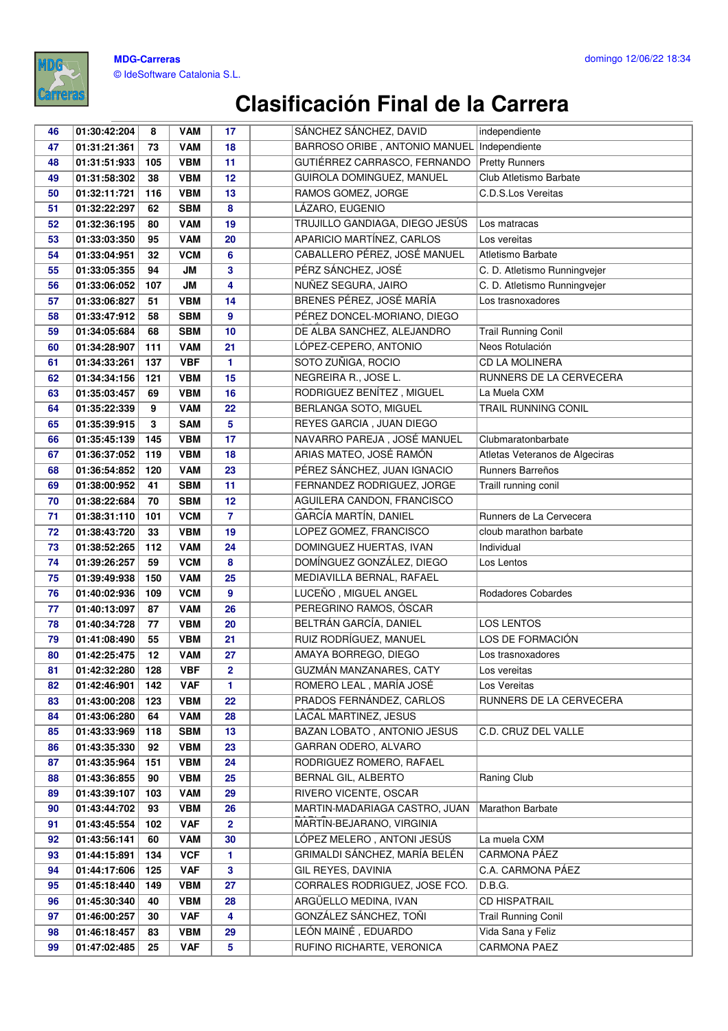

## **Clasificación Final de la Carrera**

| 46 | 01:30:42:204 | 8   | <b>VAM</b> | 17             | SÁNCHEZ SÁNCHEZ, DAVID         | independiente                  |
|----|--------------|-----|------------|----------------|--------------------------------|--------------------------------|
| 47 | 01:31:21:361 | 73  | <b>VAM</b> | 18             | BARROSO ORIBE, ANTONIO MANUEL  | Independiente                  |
| 48 | 01:31:51:933 | 105 | <b>VBM</b> | 11             | GUTIÉRREZ CARRASCO, FERNANDO   | <b>Pretty Runners</b>          |
| 49 | 01:31:58:302 | 38  | <b>VBM</b> | 12             | GUIROLA DOMINGUEZ, MANUEL      | Club Atletismo Barbate         |
| 50 | 01:32:11:721 | 116 | <b>VBM</b> | 13             | RAMOS GOMEZ, JORGE             | C.D.S.Los Vereitas             |
| 51 | 01:32:22:297 | 62  | <b>SBM</b> | 8              | LÁZARO, EUGENIO                |                                |
| 52 | 01:32:36:195 | 80  | <b>VAM</b> | 19             | TRUJILLO GANDIAGA, DIEGO JESÚS | Los matracas                   |
| 53 | 01:33:03:350 | 95  | <b>VAM</b> | 20             | APARICIO MARTÍNEZ, CARLOS      | Los vereitas                   |
| 54 | 01:33:04:951 | 32  | <b>VCM</b> | 6              | CABALLERO PÉREZ, JOSÉ MANUEL   | Atletismo Barbate              |
| 55 | 01:33:05:355 | 94  | JМ         | 3              | PÉRZ SÁNCHEZ, JOSÉ             | C. D. Atletismo Runningvejer   |
| 56 | 01:33:06:052 | 107 | JМ         | 4              | NUÑEZ SEGURA, JAIRO            | C. D. Atletismo Runningvejer   |
| 57 | 01:33:06:827 | 51  | <b>VBM</b> | 14             | BRENES PÉREZ, JOSÉ MARÍA       | Los trasnoxadores              |
| 58 | 01:33:47:912 | 58  | <b>SBM</b> | 9              | PÉREZ DONCEL-MORIANO, DIEGO    |                                |
| 59 | 01:34:05:684 | 68  | <b>SBM</b> | 10             | DE ALBA SANCHEZ, ALEJANDRO     | <b>Trail Running Conil</b>     |
| 60 | 01:34:28:907 | 111 | <b>VAM</b> | 21             | LÓPEZ-CEPERO, ANTONIO          | Neos Rotulación                |
| 61 | 01:34:33:261 | 137 | <b>VBF</b> | 1              | SOTO ZUÑIGA, ROCIO             | CD LA MOLINERA                 |
| 62 | 01:34:34:156 | 121 | <b>VBM</b> | 15             | NEGREIRA R., JOSE L.           | RUNNERS DE LA CERVECERA        |
| 63 | 01:35:03:457 | 69  | <b>VBM</b> | 16             | RODRIGUEZ BENÍTEZ, MIGUEL      | La Muela CXM                   |
| 64 | 01:35:22:339 | 9   | <b>VAM</b> | 22             | BERLANGA SOTO, MIGUEL          | <b>TRAIL RUNNING CONIL</b>     |
| 65 | 01:35:39:915 | 3   | <b>SAM</b> | 5              | REYES GARCIA, JUAN DIEGO       |                                |
| 66 | 01:35:45:139 | 145 | <b>VBM</b> | 17             | NAVARRO PAREJA, JOSÉ MANUEL    | Clubmaratonbarbate             |
| 67 | 01:36:37:052 | 119 | <b>VBM</b> | 18             | ARIAS MATEO, JOSÉ RAMÓN        | Atletas Veteranos de Algeciras |
| 68 | 01:36:54:852 | 120 | <b>VAM</b> | 23             | PÉREZ SÁNCHEZ, JUAN IGNACIO    | Runners Barreños               |
| 69 | 01:38:00:952 | 41  | <b>SBM</b> | 11             | FERNANDEZ RODRIGUEZ, JORGE     | Traill running conil           |
| 70 | 01:38:22:684 | 70  | <b>SBM</b> | 12             | AGUILERA CANDON, FRANCISCO     |                                |
| 71 | 01:38:31:110 | 101 | <b>VCM</b> | $\overline{7}$ | GARCÍA MARTÍN, DANIEL          | Runners de La Cervecera        |
| 72 | 01:38:43:720 | 33  | <b>VBM</b> | 19             | LOPEZ GOMEZ, FRANCISCO         | cloub marathon barbate         |
| 73 | 01:38:52:265 | 112 | <b>VAM</b> | 24             | DOMINGUEZ HUERTAS, IVAN        | Individual                     |
| 74 | 01:39:26:257 | 59  | <b>VCM</b> | 8              | DOMÍNGUEZ GONZÁLEZ, DIEGO      | Los Lentos                     |
| 75 | 01:39:49:938 | 150 | <b>VAM</b> | 25             | MEDIAVILLA BERNAL, RAFAEL      |                                |
| 76 | 01:40:02:936 | 109 | <b>VCM</b> | 9              | LUCEÑO, MIGUEL ANGEL           | Rodadores Cobardes             |
| 77 | 01:40:13:097 | 87  | <b>VAM</b> | 26             | PEREGRINO RAMOS, ÓSCAR         |                                |
| 78 | 01:40:34:728 | 77  | <b>VBM</b> | 20             | BELTRÁN GARCÍA, DANIEL         | <b>LOS LENTOS</b>              |
| 79 | 01:41:08:490 | 55  | <b>VBM</b> | 21             | RUIZ RODRÍGUEZ, MANUEL         | LOS DE FORMACIÓN               |
| 80 | 01:42:25:475 | 12  | <b>VAM</b> | 27             | AMAYA BORREGO, DIEGO           | Los trasnoxadores              |
| 81 | 01:42:32:280 | 128 | <b>VBF</b> | $\overline{2}$ | GUZMÁN MANZANARES, CATY        | Los vereitas                   |
| 82 | 01:42:46:901 | 142 | <b>VAF</b> | 1.             | ROMERO LEAL, MARÍA JOSÉ        | Los Vereitas                   |
| 83 | 01:43:00:208 | 123 | <b>VBM</b> | 22             | PRADOS FERNÁNDEZ, CARLOS       | RUNNERS DE LA CERVECERA        |
| 84 | 01:43:06:280 | 64  | <b>VAM</b> | 28             | LACAL MARTINEZ, JESUS          |                                |
| 85 | 01:43:33:969 | 118 | <b>SBM</b> | 13             | BAZAN LOBATO, ANTONIO JESUS    | C.D. CRUZ DEL VALLE            |
| 86 | 01:43:35:330 | 92  | <b>VBM</b> | 23             | GARRAN ODERO, ALVARO           |                                |
| 87 | 01:43:35:964 | 151 | <b>VBM</b> | 24             | RODRIGUEZ ROMERO, RAFAEL       |                                |
| 88 | 01:43:36:855 | 90  | <b>VBM</b> | 25             | BERNAL GIL, ALBERTO            | Raning Club                    |
| 89 | 01:43:39:107 | 103 | <b>VAM</b> | 29             | RIVERO VICENTE, OSCAR          |                                |
| 90 | 01:43:44:702 | 93  | <b>VBM</b> | 26             | MARTIN-MADARIAGA CASTRO, JUAN  | Marathon Barbate               |
| 91 | 01:43:45:554 | 102 | <b>VAF</b> | $\overline{2}$ | MARTIN-BEJARANO, VIRGINIA      |                                |
| 92 | 01:43:56:141 | 60  | <b>VAM</b> | 30             | LÓPEZ MELERO, ANTONI JESÚS     | La muela CXM                   |
| 93 | 01:44:15:891 | 134 | <b>VCF</b> | 1.             | GRIMALDI SÁNCHEZ, MARÍA BELÉN  | CARMONA PÁEZ                   |
| 94 | 01:44:17:606 | 125 | <b>VAF</b> | 3              | GIL REYES, DAVINIA             | C.A. CARMONA PAEZ              |
| 95 | 01:45:18:440 | 149 | <b>VBM</b> | 27             | CORRALES RODRIGUEZ, JOSE FCO.  | D.B.G.                         |
| 96 | 01:45:30:340 | 40  | <b>VBM</b> | 28             | ARGÜELLO MEDINA, IVAN          | <b>CD HISPATRAIL</b>           |
| 97 | 01:46:00:257 | 30  | <b>VAF</b> | 4              | GONZÁLEZ SÁNCHEZ, TOÑI         | <b>Trail Running Conil</b>     |
| 98 | 01:46:18:457 | 83  | <b>VBM</b> | 29             | LEÓN MAINÉ, EDUARDO            | Vida Sana y Feliz              |
| 99 | 01:47:02:485 | 25  | <b>VAF</b> | 5              | RUFINO RICHARTE, VERONICA      | CARMONA PAEZ                   |